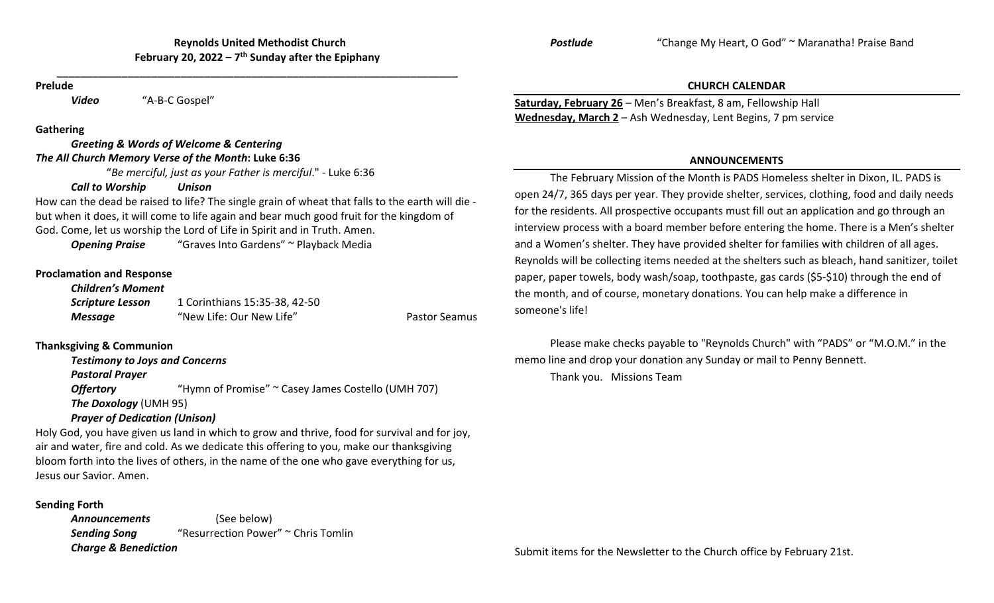**\_\_\_\_\_\_\_\_\_\_\_\_\_\_\_\_\_\_\_\_\_\_\_\_\_\_\_\_\_\_\_\_\_\_\_\_\_\_\_\_\_\_\_\_\_\_\_\_\_\_\_\_\_\_\_\_\_\_\_\_\_\_\_\_\_\_\_\_**

#### **Prelude**

*o* "A-B-C Gospel"

### **Gathering**

*Video*

### *Greeting & Words of Welcome & Centering The All Church Memory Verse of the Month***: Luke 6:36**

"*Be merciful, just as your Father is merciful*." ‐ Luke 6:36

# *Call to Worship Unison*

How can the dead be raised to life? The single grain of wheat that falls to the earth will die ‐ but when it does, it will come to life again and bear much good fruit for the kingdom of God. Come, let us worship the Lord of Life in Spirit and in Truth. Amen.

**Opening Praise** "Graves Into Gardens" ~ Playback Media

# **Proclamation and Response**

#### *Children's Moment*

| <b>Scripture Lesson</b> | 1 Corinthians 15:35-38, 42-50 |                      |
|-------------------------|-------------------------------|----------------------|
| <b>Message</b>          | "New Life: Our New Life"      | <b>Pastor Seamus</b> |

# **Thanksgiving & Communion**

*Testimony to Joys and Concerns*

*Pastoral Prayer*

**Offertory** "Hymn of Promise" ~ Casey James Costello (UMH 707) *The Doxology* (UMH 95) *Prayer of Dedication (Unison)*

Holy God, you have given us land in which to grow and thrive, food for survival and for joy, air and water, fire and cold. As we dedicate this offering to you, make our thanksgiving bloom forth into the lives of others, in the name of the one who gave everything for us, Jesus our Savior. Amen.

# **Sending Forth**

*Announcements* (See below) **Sending Song** "Resurrection Power" ~ Chris Tomlin *Charge & Benediction*

"Change My Heart, O God" <sup>~</sup> Maranatha! Praise Band

### **CHURCH CALENDAR**

**Saturday, February 26** – Men's Breakfast, 8 am, Fellowship Hall **Wednesday, March 2** – Ash Wednesday, Lent Begins, 7 pm service

*Postlude*

## **ANNOUNCEMENTS**

The February Mission of the Month is PADS Homeless shelter in Dixon, IL. PADS is open 24/7, 365 days per year. They provide shelter, services, clothing, food and daily needs for the residents. All prospective occupants must fill out an application and go through an interview process with <sup>a</sup> board member before entering the home. There is <sup>a</sup> Men's shelter and <sup>a</sup> Women's shelter. They have provided shelter for families with children of all ages. Reynolds will be collecting items needed at the shelters such as bleach, hand sanitizer, toilet paper, paper towels, body wash/soap, toothpaste, gas cards (\$5‐\$10) through the end of the month, and of course, monetary donations. You can help make <sup>a</sup> difference in someone's life!

Please make checks payable to "Reynolds Church" with "PADS" or "M.O.M." in the memo line and drop your donation any Sunday or mail to Penny Bennett. Thank you. Missions Team

Submit items for the Newsletter to the Church office by February 21st.